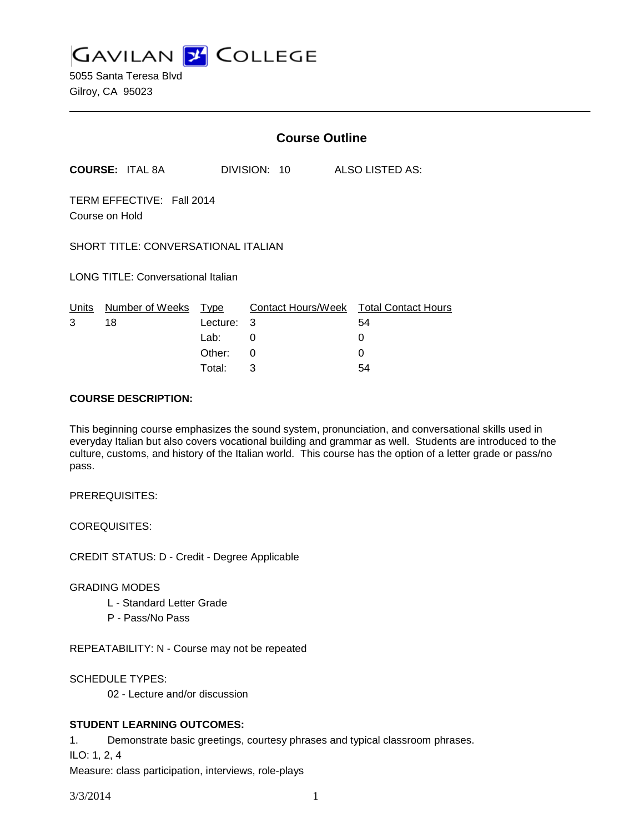**GAVILAN Z COLLEGE** 

5055 Santa Teresa Blvd Gilroy, CA 95023

|            |                                             |                                      | <b>Course Outline</b> |                                                              |
|------------|---------------------------------------------|--------------------------------------|-----------------------|--------------------------------------------------------------|
|            | <b>COURSE: ITAL 8A</b>                      |                                      | DIVISION: 10          | ALSO LISTED AS:                                              |
|            | TERM EFFECTIVE: Fall 2014<br>Course on Hold |                                      |                       |                                                              |
|            | SHORT TITLE: CONVERSATIONAL ITALIAN         |                                      |                       |                                                              |
|            | LONG TITLE: Conversational Italian          |                                      |                       |                                                              |
| Units<br>3 | Number of Weeks Type<br>18                  | Lecture:<br>Lab:<br>Other:<br>Total: | 3<br>0<br>0<br>3      | Contact Hours/Week Total Contact Hours<br>54<br>0<br>0<br>54 |

#### **COURSE DESCRIPTION:**

This beginning course emphasizes the sound system, pronunciation, and conversational skills used in everyday Italian but also covers vocational building and grammar as well. Students are introduced to the culture, customs, and history of the Italian world. This course has the option of a letter grade or pass/no pass.

PREREQUISITES:

COREQUISITES:

CREDIT STATUS: D - Credit - Degree Applicable

## GRADING MODES

- L Standard Letter Grade
- P Pass/No Pass

REPEATABILITY: N - Course may not be repeated

SCHEDULE TYPES:

02 - Lecture and/or discussion

## **STUDENT LEARNING OUTCOMES:**

1. Demonstrate basic greetings, courtesy phrases and typical classroom phrases.

ILO: 1, 2, 4

Measure: class participation, interviews, role-plays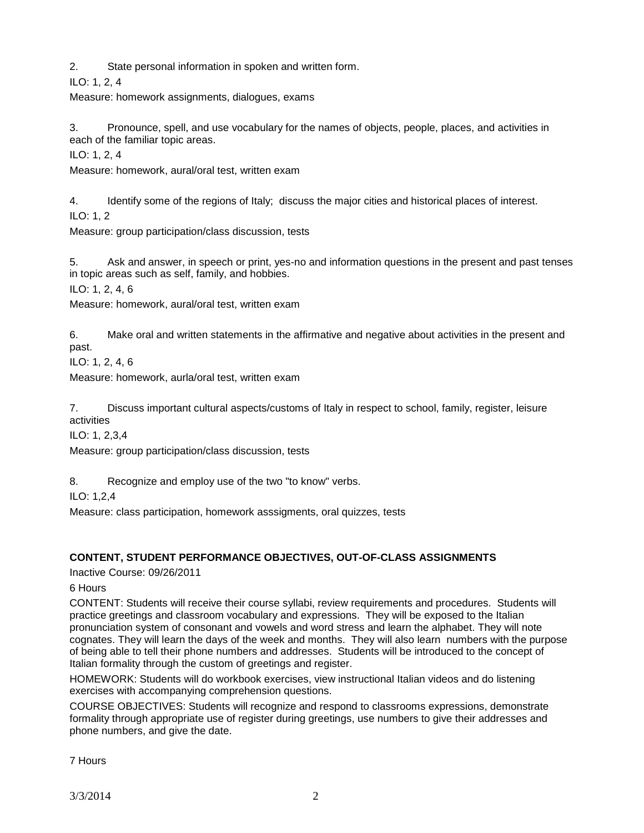2. State personal information in spoken and written form.

ILO: 1, 2, 4

Measure: homework assignments, dialogues, exams

3. Pronounce, spell, and use vocabulary for the names of objects, people, places, and activities in each of the familiar topic areas.

ILO: 1, 2, 4

Measure: homework, aural/oral test, written exam

4. Identify some of the regions of Italy; discuss the major cities and historical places of interest.

ILO: 1, 2

Measure: group participation/class discussion, tests

5. Ask and answer, in speech or print, yes-no and information questions in the present and past tenses in topic areas such as self, family, and hobbies.

ILO: 1, 2, 4, 6

Measure: homework, aural/oral test, written exam

6. Make oral and written statements in the affirmative and negative about activities in the present and past.

ILO: 1, 2, 4, 6

Measure: homework, aurla/oral test, written exam

7. Discuss important cultural aspects/customs of Italy in respect to school, family, register, leisure activities

ILO: 1, 2,3,4

Measure: group participation/class discussion, tests

8. Recognize and employ use of the two "to know" verbs.

ILO: 1,2,4

Measure: class participation, homework asssigments, oral quizzes, tests

# **CONTENT, STUDENT PERFORMANCE OBJECTIVES, OUT-OF-CLASS ASSIGNMENTS**

Inactive Course: 09/26/2011

6 Hours

CONTENT: Students will receive their course syllabi, review requirements and procedures. Students will practice greetings and classroom vocabulary and expressions. They will be exposed to the Italian pronunciation system of consonant and vowels and word stress and learn the alphabet. They will note cognates. They will learn the days of the week and months. They will also learn numbers with the purpose of being able to tell their phone numbers and addresses. Students will be introduced to the concept of Italian formality through the custom of greetings and register.

HOMEWORK: Students will do workbook exercises, view instructional Italian videos and do listening exercises with accompanying comprehension questions.

COURSE OBJECTIVES: Students will recognize and respond to classrooms expressions, demonstrate formality through appropriate use of register during greetings, use numbers to give their addresses and phone numbers, and give the date.

7 Hours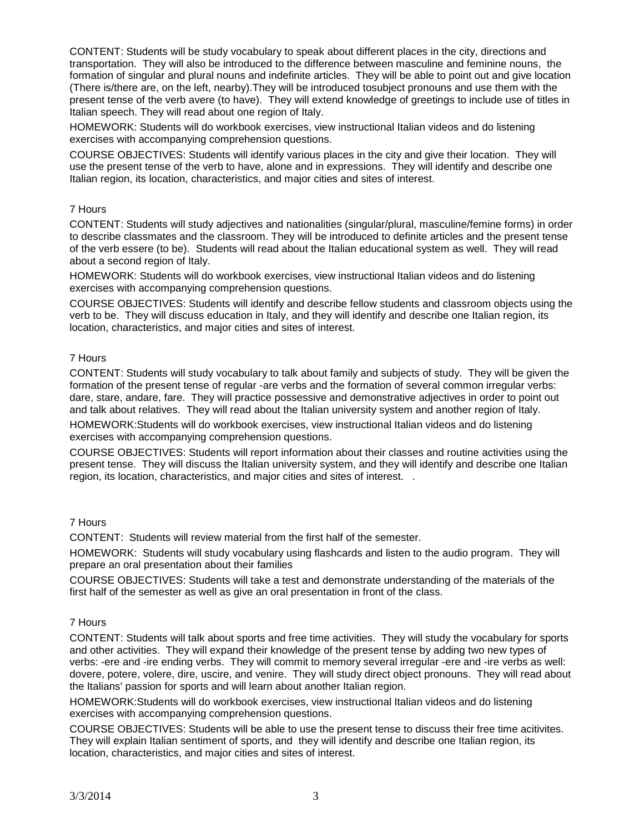CONTENT: Students will be study vocabulary to speak about different places in the city, directions and transportation. They will also be introduced to the difference between masculine and feminine nouns, the formation of singular and plural nouns and indefinite articles. They will be able to point out and give location (There is/there are, on the left, nearby).They will be introduced tosubject pronouns and use them with the present tense of the verb avere (to have). They will extend knowledge of greetings to include use of titles in Italian speech. They will read about one region of Italy.

HOMEWORK: Students will do workbook exercises, view instructional Italian videos and do listening exercises with accompanying comprehension questions.

COURSE OBJECTIVES: Students will identify various places in the city and give their location. They will use the present tense of the verb to have, alone and in expressions. They will identify and describe one Italian region, its location, characteristics, and major cities and sites of interest.

## 7 Hours

CONTENT: Students will study adjectives and nationalities (singular/plural, masculine/femine forms) in order to describe classmates and the classroom. They will be introduced to definite articles and the present tense of the verb essere (to be). Students will read about the Italian educational system as well. They will read about a second region of Italy.

HOMEWORK: Students will do workbook exercises, view instructional Italian videos and do listening exercises with accompanying comprehension questions.

COURSE OBJECTIVES: Students will identify and describe fellow students and classroom objects using the verb to be. They will discuss education in Italy, and they will identify and describe one Italian region, its location, characteristics, and major cities and sites of interest.

## 7 Hours

CONTENT: Students will study vocabulary to talk about family and subjects of study. They will be given the formation of the present tense of regular -are verbs and the formation of several common irregular verbs: dare, stare, andare, fare. They will practice possessive and demonstrative adjectives in order to point out and talk about relatives. They will read about the Italian university system and another region of Italy.

HOMEWORK:Students will do workbook exercises, view instructional Italian videos and do listening exercises with accompanying comprehension questions.

COURSE OBJECTIVES: Students will report information about their classes and routine activities using the present tense. They will discuss the Italian university system, and they will identify and describe one Italian region, its location, characteristics, and major cities and sites of interest. .

## 7 Hours

CONTENT: Students will review material from the first half of the semester.

HOMEWORK: Students will study vocabulary using flashcards and listen to the audio program. They will prepare an oral presentation about their families

COURSE OBJECTIVES: Students will take a test and demonstrate understanding of the materials of the first half of the semester as well as give an oral presentation in front of the class.

## 7 Hours

CONTENT: Students will talk about sports and free time activities. They will study the vocabulary for sports and other activities. They will expand their knowledge of the present tense by adding two new types of verbs: -ere and -ire ending verbs. They will commit to memory several irregular -ere and -ire verbs as well: dovere, potere, volere, dire, uscire, and venire. They will study direct object pronouns. They will read about the Italians' passion for sports and will learn about another Italian region.

HOMEWORK:Students will do workbook exercises, view instructional Italian videos and do listening exercises with accompanying comprehension questions.

COURSE OBJECTIVES: Students will be able to use the present tense to discuss their free time acitivites. They will explain Italian sentiment of sports, and they will identify and describe one Italian region, its location, characteristics, and major cities and sites of interest.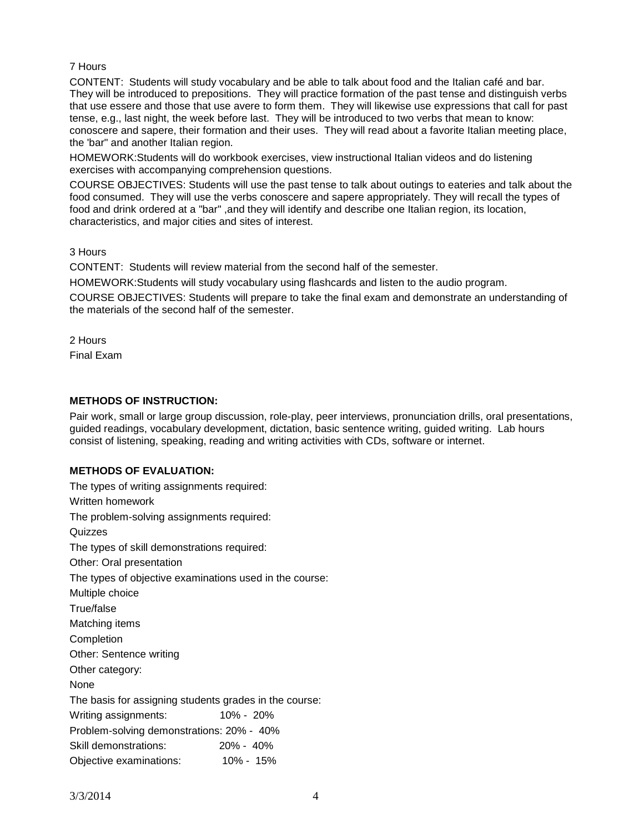#### 7 Hours

CONTENT: Students will study vocabulary and be able to talk about food and the Italian café and bar. They will be introduced to prepositions. They will practice formation of the past tense and distinguish verbs that use essere and those that use avere to form them. They will likewise use expressions that call for past tense, e.g., last night, the week before last. They will be introduced to two verbs that mean to know: conoscere and sapere, their formation and their uses. They will read about a favorite Italian meeting place, the 'bar" and another Italian region.

HOMEWORK:Students will do workbook exercises, view instructional Italian videos and do listening exercises with accompanying comprehension questions.

COURSE OBJECTIVES: Students will use the past tense to talk about outings to eateries and talk about the food consumed. They will use the verbs conoscere and sapere appropriately. They will recall the types of food and drink ordered at a "bar" ,and they will identify and describe one Italian region, its location, characteristics, and major cities and sites of interest.

3 Hours

CONTENT: Students will review material from the second half of the semester.

HOMEWORK:Students will study vocabulary using flashcards and listen to the audio program.

COURSE OBJECTIVES: Students will prepare to take the final exam and demonstrate an understanding of the materials of the second half of the semester.

2 Hours

Final Exam

## **METHODS OF INSTRUCTION:**

Pair work, small or large group discussion, role-play, peer interviews, pronunciation drills, oral presentations, guided readings, vocabulary development, dictation, basic sentence writing, guided writing. Lab hours consist of listening, speaking, reading and writing activities with CDs, software or internet.

## **METHODS OF EVALUATION:**

| The types of skill demonstrations required:             |  |  |  |  |  |
|---------------------------------------------------------|--|--|--|--|--|
|                                                         |  |  |  |  |  |
| The types of objective examinations used in the course: |  |  |  |  |  |
|                                                         |  |  |  |  |  |
|                                                         |  |  |  |  |  |
| Matching items                                          |  |  |  |  |  |
|                                                         |  |  |  |  |  |
| Other: Sentence writing                                 |  |  |  |  |  |
|                                                         |  |  |  |  |  |
|                                                         |  |  |  |  |  |
| The basis for assigning students grades in the course:  |  |  |  |  |  |
|                                                         |  |  |  |  |  |
| Problem-solving demonstrations: 20% - 40%               |  |  |  |  |  |
|                                                         |  |  |  |  |  |
|                                                         |  |  |  |  |  |
|                                                         |  |  |  |  |  |